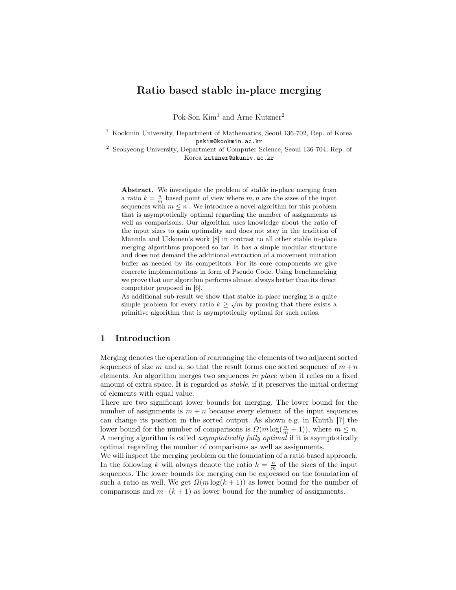# Ratio based stable in-place merging

Pok-Son Kim<sup>1</sup> and Arne Kutzner<sup>2</sup>

<sup>1</sup> Kookmin University, Department of Mathematics, Seoul 136-702, Rep. of Korea pskim@kookmin.ac.kr

<sup>2</sup> Seokyeong University, Department of Computer Science, Seoul 136-704, Rep. of Korea kutzner@skuniv.ac.kr

Abstract. We investigate the problem of stable in-place merging from a ratio  $k = \frac{n}{m}$  based point of view where  $m, n$  are the sizes of the input sequences with  $m \leq n$ . We introduce a novel algorithm for this problem that is asymptotically optimal regarding the number of assignments as well as comparisons. Our algorithm uses knowledge about the ratio of the input sizes to gain optimality and does not stay in the tradition of Mannila and Ukkonen's work [8] in contrast to all other stable in-place merging algorithms proposed so far. It has a simple modular structure and does not demand the additional extraction of a movement imitation buffer as needed by its competitors. For its core components we give concrete implementations in form of Pseudo Code. Using benchmarking we prove that our algorithm performs almost always better than its direct competitor proposed in [6].

As additional sub-result we show that stable in-place merging is a quite simple problem for every ratio  $k \geq \sqrt{m}$  by proving that there exists a primitive algorithm that is asymptotically optimal for such ratios.

# 1 Introduction

Merging denotes the operation of rearranging the elements of two adjacent sorted sequences of size m and n, so that the result forms one sorted sequence of  $m + n$ elements. An algorithm merges two sequences in place when it relies on a fixed amount of extra space. It is regarded as stable, if it preserves the initial ordering of elements with equal value.

There are two significant lower bounds for merging. The lower bound for the number of assignments is  $m + n$  because every element of the input sequences can change its position in the sorted output. As shown e.g. in Knuth [7] the lower bound for the number of comparisons is  $\Omega(m \log(\frac{n}{m} + 1))$ , where  $m \leq n$ . A merging algorithm is called asymptotically fully optimal if it is asymptotically optimal regarding the number of comparisons as well as assignments.

We will inspect the merging problem on the foundation of a ratio based approach. In the following k will always denote the ratio  $k = \frac{n}{m}$  of the sizes of the input sequences. The lower bounds for merging can be expressed on the foundation of such a ratio as well. We get  $\Omega(m \log(k+1))$  as lower bound for the number of comparisons and  $m \cdot (k + 1)$  as lower bound for the number of assignments.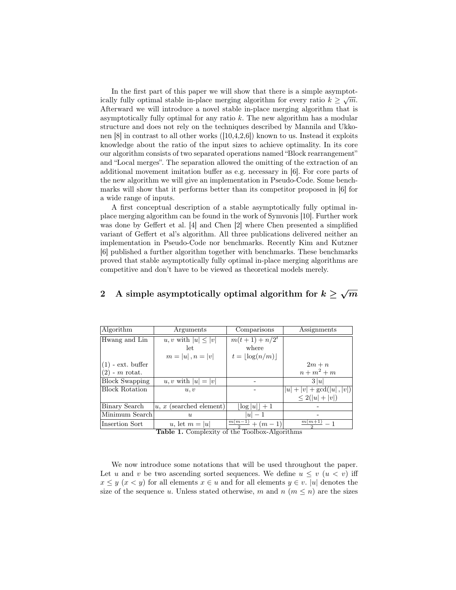In the first part of this paper we will show that there is a simple asymptotically fully optimal stable in-place merging algorithm for every ratio  $k \geq \sqrt{m}$ . Afterward we will introduce a novel stable in-place merging algorithm that is asymptotically fully optimal for any ratio  $k$ . The new algorithm has a modular structure and does not rely on the techniques described by Mannila and Ukkonen [8] in contrast to all other works ([10,4,2,6]) known to us. Instead it exploits knowledge about the ratio of the input sizes to achieve optimality. In its core our algorithm consists of two separated operations named "Block rearrangement" and "Local merges". The separation allowed the omitting of the extraction of an additional movement imitation buffer as e.g. necessary in [6]. For core parts of the new algorithm we will give an implementation in Pseudo-Code. Some benchmarks will show that it performs better than its competitor proposed in [6] for a wide range of inputs.

A first conceptual description of a stable asymptotically fully optimal inplace merging algorithm can be found in the work of Symvonis [10]. Further work was done by Geffert et al. [4] and Chen [2] where Chen presented a simplified variant of Geffert et al's algorithm. All three publications delivered neither an implementation in Pseudo-Code nor benchmarks. Recently Kim and Kutzner [6] published a further algorithm together with benchmarks. These benchmarks proved that stable asymptotically fully optimal in-place merging algorithms are competitive and don't have to be viewed as theoretical models merely.

| Algorithm             | Arguments                 | Comparisons                           | Assignments                  |  |
|-----------------------|---------------------------|---------------------------------------|------------------------------|--|
| Hwang and Lin         | u, v with $ u  \leq  v $  | $m(t+1) + n/2^t$                      |                              |  |
|                       | let                       | where                                 |                              |  |
|                       | $m =  u , n =  v $        | $t =  \log(n/m) $                     |                              |  |
| $(1)$ - ext. buffer   |                           |                                       | $2m + n$                     |  |
| $(2)$ - m rotat.      |                           |                                       | $n+m^2+m$                    |  |
| <b>Block Swapping</b> | u, v with $ u = v $       |                                       | 3 u                          |  |
| <b>Block Rotation</b> | u, v                      |                                       | $ u  +  v  + \gcd( u ,  v )$ |  |
|                       |                           |                                       | $\leq 2( u + v )$            |  |
| Binary Search         | $u, x$ (searched element) | $ \log u $ + 1                        |                              |  |
| Minimum Search        | $\boldsymbol{u}$          | $ u -1$                               |                              |  |
| Insertion Sort        | u, let $m =  u $          | $\frac{\overline{m(m-1)}}{2} + (m-1)$ | $\frac{m(m+1)}{m-1}$         |  |

# 2 A simple asymptotically optimal algorithm for  $k \geq \sqrt{m}$

Table 1. Complexity of the Toolbox-Algorithms

We now introduce some notations that will be used throughout the paper. Let u and v be two ascending sorted sequences. We define  $u \leq v$   $(u \leq v)$  iff  $x \leq y$  ( $x < y$ ) for all elements  $x \in u$  and for all elements  $y \in v$ . |u| denotes the size of the sequence u. Unless stated otherwise, m and  $n (m \leq n)$  are the sizes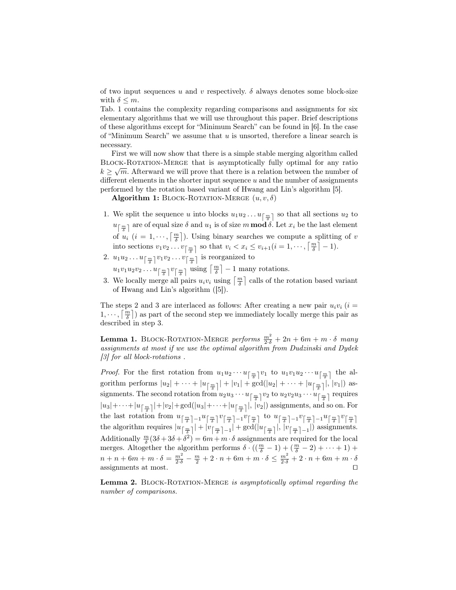of two input sequences u and v respectively.  $\delta$  always denotes some block-size with  $\delta \leq m$ .

Tab. 1 contains the complexity regarding comparisons and assignments for six elementary algorithms that we will use throughout this paper. Brief descriptions of these algorithms except for "Minimum Search" can be found in [6]. In the case of "Minimum Search" we assume that  $u$  is unsorted, therefore a linear search is necessary.

First we will now show that there is a simple stable merging algorithm called BLOCK-ROTATION-MERGE that is asymptotically fully optimal for any ratio  $k \geq \sqrt{m}$ . Afterward we will prove that there is a relation between the number of different elements in the shorter input sequence  $u$  and the number of assignments performed by the rotation based variant of Hwang and Lin's algorithm [5].

Algorithm 1: BLOCK-ROTATION-MERGE  $(u, v, \delta)$ 

- 1. We split the sequence u into blocks  $u_1u_2 \ldots u_{\lceil \frac{m}{\delta} \rceil}$  so that all sections  $u_2$  to  $u_{\lceil \frac{m}{\delta}\rceil}$  are of equal size  $\delta$  and  $u_1$  is of size m **mod**  $\delta$ . Let  $x_i$  be the last element of  $u_i$   $(i = 1, \dots, \lceil \frac{m}{\delta} \rceil)$ . Using binary searches we compute a splitting of v into sections  $v_1v_2 \ldots v_{\left\lceil \frac{m}{\delta} \right\rceil}$  so that  $v_i < x_i \le v_{i+1}$   $(i = 1, \dots, \left\lceil \frac{m}{\delta} \right\rceil - 1)$ .
- 2.  $u_1u_2 \ldots u_{\left\lceil \frac{m}{\delta} \right\rceil} v_1v_2 \ldots v_{\left\lceil \frac{m}{\delta} \right\rceil}$  is reorganized to

 $u_1v_1u_2v_2\ldots u_{\left\lceil \frac{m}{\delta}\right\rceil}v_{\left\lceil \frac{m}{\delta}\right\rceil}$  using  $\left\lceil \frac{m}{\delta}\right\rceil-1$  many rotations.

3. We locally merge all pairs  $u_i v_i$  using  $\left\lceil \frac{m}{\delta} \right\rceil$  calls of the rotation based variant of Hwang and Lin's algorithm ([5]).

The steps 2 and 3 are interlaced as follows: After creating a new pair  $u_i v_i$  (i =  $1, \dots, \lceil \frac{m}{\delta} \rceil$ ) as part of the second step we immediately locally merge this pair as described in step 3.

**Lemma 1.** BLOCK-ROTATION-MERGE performs  $\frac{m^2}{2 \cdot \delta} + 2n + 6m + m \cdot \delta$  many assignments at most if we use the optimal algorithm from Dudzinski and Dydek [3] for all block-rotations.

*Proof.* For the first rotation from  $u_1u_2\cdots u_{\lceil \frac{m}{\delta}\rceil}v_1$  to  $u_1v_1u_2\cdots u_{\lceil \frac{m}{\delta}\rceil}$  the algorithm performs  $|u_2| + \cdots + |u_{\lceil \frac{m}{\delta} \rceil}| + |v_1| + \gcd(|u_2| + \cdots + |u_{\lceil \frac{m}{\delta} \rceil}|, |v_1|)$  assignments. The second rotation from  $u_2u_3\cdots u_{\left\lceil\frac{m}{\delta}\right\rceil}v_2$  to  $u_2v_2u_3\cdots u_{\left\lceil\frac{m}{\delta}\right\rceil}$  requires  $|u_3|+\cdots+|u_{\left\lceil\frac{m}{\delta}\right\rceil}|+|v_2|+\gcd(|u_3|+\cdots+|u_{\left\lceil\frac{m}{\delta}\right\rceil}|,\,|v_2|)$  assignments, and so on. For the last rotation from  $u_{\left\lceil \frac{m}{\delta} \right\rceil - 1} u_{\left\lceil \frac{m}{\delta} \right\rceil} v_{\left\lceil \frac{m}{\delta} \right\rceil - 1} v_{\left\lceil \frac{m}{\delta} \right\rceil}$  to  $u_{\left\lceil \frac{m}{\delta} \right\rceil - 1} v_{\left\lceil \frac{m}{\delta} \right\rceil - 1} u_{\left\lceil \frac{m}{\delta} \right\rceil} v_{\left\lceil \frac{m}{\delta} \right\rceil}$ the algorithm requires  $|u_{\lceil \frac{m}{\delta} \rceil}| + |v_{\lceil \frac{m}{\delta} \rceil-1}| + \gcd(|u_{\lceil \frac{m}{\delta} \rceil}|, |v_{\lceil \frac{m}{\delta} \rceil-1}|)$  assignments. Additionally  $\frac{m}{\delta}(3\delta + 3\delta + \delta^2) = 6m + m \cdot \delta$  assignments are required for the local merges. Altogether the algorithm performs  $\delta \cdot ((\frac{m}{\delta} - 1) + (\frac{m}{\delta} - 2) + \cdots + 1) +$  $n + n + 6m + m \cdot \delta = \frac{m^2}{2 \cdot \delta} - \frac{m}{2} + 2 \cdot n + 6m + m \cdot \delta \leq \frac{m^2}{2 \cdot \delta} + 2 \cdot n + 6m + m \cdot \delta$ assignments at most.

Lemma 2. BLOCK-ROTATION-MERGE is asymptotically optimal regarding the number of comparisons.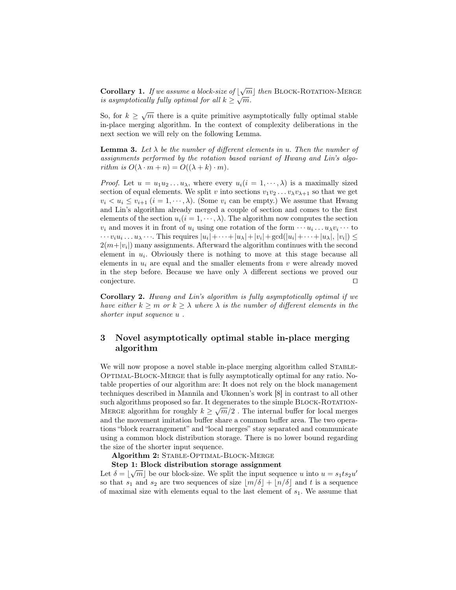**Corollary 1.** If we assume a block-size of  $\lfloor \sqrt{m} \rfloor$  then BLOCK-ROTATION-MERGE is asymptotically fully optimal for all  $k \geq \sqrt{m}$ .

So, for  $k \geq \sqrt{m}$  there is a quite primitive asymptotically fully optimal stable in-place merging algorithm. In the context of complexity deliberations in the next section we will rely on the following Lemma.

**Lemma 3.** Let  $\lambda$  be the number of different elements in u. Then the number of assignments performed by the rotation based variant of Hwang and Lin's algorithm is  $O(\lambda \cdot m + n) = O((\lambda + k) \cdot m)$ .

*Proof.* Let  $u = u_1 u_2 ... u_{\lambda}$ , where every  $u_i (i = 1, ..., \lambda)$  is a maximally sized section of equal elements. We split v into sections  $v_1v_2 \ldots v_\lambda v_{\lambda+1}$  so that we get  $v_i < u_i \le v_{i+1}$   $(i = 1, \dots, \lambda)$ . (Some  $v_i$  can be empty.) We assume that Hwang and Lin's algorithm already merged a couple of section and comes to the first elements of the section  $u_i(i = 1, \dots, \lambda)$ . The algorithm now computes the section  $v_i$  and moves it in front of  $u_i$  using one rotation of the form  $\cdots u_i \dots u_{\lambda} v_i \cdots$  to  $\cdots v_i u_i \ldots u_\lambda \cdots$  This requires  $|u_i| + \cdots + |u_\lambda| + |v_i| + \gcd(|u_i| + \cdots + |u_\lambda|, |v_i|) \le$  $2(m+|v_i|)$  many assignments. Afterward the algorithm continues with the second element in  $u_i$ . Obviously there is nothing to move at this stage because all elements in  $u_i$  are equal and the smaller elements from v were already moved in the step before. Because we have only  $\lambda$  different sections we proved our  $\Box$ conjecture.  $\Box$ 

Corollary 2. Hwang and Lin's algorithm is fully asymptotically optimal if we have either  $k \geq m$  or  $k \geq \lambda$  where  $\lambda$  is the number of different elements in the shorter input sequence  $u$ .

# 3 Novel asymptotically optimal stable in-place merging algorithm

We will now propose a novel stable in-place merging algorithm called STABLE-Optimal-Block-Merge that is fully asymptotically optimal for any ratio. Notable properties of our algorithm are: It does not rely on the block management techniques described in Mannila and Ukonnen's work [8] in contrast to all other such algorithms proposed so far. It degenerates to the simple BLOCK-ROTATION-MERGE algorithm for roughly  $k \geq \sqrt{m}/2$ . The internal buffer for local merges and the movement imitation buffer share a common buffer area. The two operations "block rearrangement" and "local merges" stay separated and communicate using a common block distribution storage. There is no lower bound regarding the size of the shorter input sequence.

Algorithm 2: STABLE-OPTIMAL-BLOCK-MERGE

# Step 1: Block distribution storage assignment

Let  $\delta = \lfloor \sqrt{m} \rfloor$  be our block-size. We split the input sequence u into  $u = s_1 t s_2 u'$ so that  $s_1$  and  $s_2$  are two sequences of size  $\lfloor m/\delta \rfloor + \lfloor n/\delta \rfloor$  and t is a sequence of maximal size with elements equal to the last element of  $s_1$ . We assume that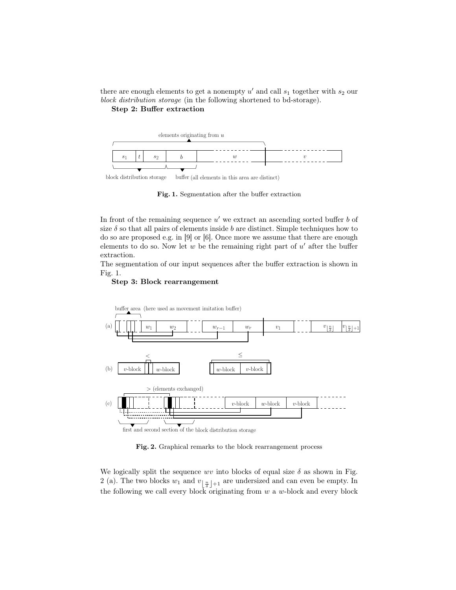there are enough elements to get a nonempty  $u'$  and call  $s_1$  together with  $s_2$  our block distribution storage (in the following shortened to bd-storage).

Step 2: Buffer extraction



(all elements in this area are distinct) block distribution storage

Fig. 1. Segmentation after the buffer extraction

In front of the remaining sequence  $u'$  we extract an ascending sorted buffer  $b$  of size  $\delta$  so that all pairs of elements inside b are distinct. Simple techniques how to do so are proposed e.g. in [9] or [6]. Once more we assume that there are enough elements to do so. Now let  $w$  be the remaining right part of  $u'$  after the buffer extraction.

The segmentation of our input sequences after the buffer extraction is shown in Fig. 1.

#### Step 3: Block rearrangement



Fig. 2. Graphical remarks to the block rearrangement process

We logically split the sequence wv into blocks of equal size  $\delta$  as shown in Fig. 2 (a). The two blocks  $w_1$  and  $v_{\lfloor \frac{n}{\delta} \rfloor+1}$  are undersized and can even be empty. In the following we call every block originating from  $w$  a  $w$ -block and every block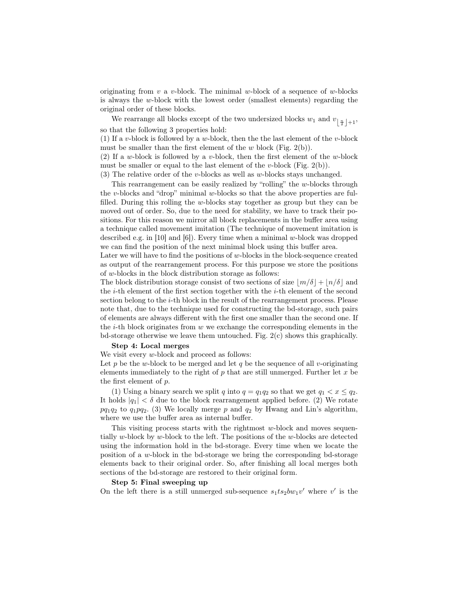originating from v a v-block. The minimal w-block of a sequence of w-blocks is always the w-block with the lowest order (smallest elements) regarding the original order of these blocks.

We rearrange all blocks except of the two undersized blocks  $w_1$  and  $v_{\lfloor \frac{n}{\delta} \rfloor + 1}$ , so that the following 3 properties hold:

(1) If a v-block is followed by a w-block, then the the last element of the v-block must be smaller than the first element of the  $w$  block (Fig. 2(b)).

(2) If a w-block is followed by a v-block, then the first element of the w-block must be smaller or equal to the last element of the v-block (Fig.  $2(b)$ ).

(3) The relative order of the v-blocks as well as w-blocks stays unchanged.

This rearrangement can be easily realized by "rolling" the w-blocks through the v-blocks and "drop" minimal w-blocks so that the above properties are fulfilled. During this rolling the w-blocks stay together as group but they can be moved out of order. So, due to the need for stability, we have to track their positions. For this reason we mirror all block replacements in the buffer area using a technique called movement imitation (The technique of movement imitation is described e.g. in [10] and [6]). Every time when a minimal w-block was dropped we can find the position of the next minimal block using this buffer area.

Later we will have to find the positions of  $w$ -blocks in the block-sequence created as output of the rearrangement process. For this purpose we store the positions of w-blocks in the block distribution storage as follows:

The block distribution storage consist of two sections of size  $\frac{m}{\delta} + \frac{n}{\delta}$  and the  $i$ -th element of the first section together with the  $i$ -th element of the second section belong to the i-th block in the result of the rearrangement process. Please note that, due to the technique used for constructing the bd-storage, such pairs of elements are always different with the first one smaller than the second one. If the  $i$ -th block originates from  $w$  we exchange the corresponding elements in the bd-storage otherwise we leave them untouched. Fig. 2(c) shows this graphically.

#### Step 4: Local merges

We visit every w-block and proceed as follows:

Let p be the w-block to be merged and let q be the sequence of all v-originating elements immediately to the right of  $p$  that are still unmerged. Further let  $x$  be the first element of p.

(1) Using a binary search we split q into  $q = q_1 q_2$  so that we get  $q_1 < x \leq q_2$ . It holds  $|q_1| < \delta$  due to the block rearrangement applied before. (2) We rotate  $pq_1q_2$  to  $q_1pq_2$ . (3) We locally merge p and  $q_2$  by Hwang and Lin's algorithm, where we use the buffer area as internal buffer.

This visiting process starts with the rightmost  $w$ -block and moves sequentially w-block by w-block to the left. The positions of the w-blocks are detected using the information hold in the bd-storage. Every time when we locate the position of a w-block in the bd-storage we bring the corresponding bd-storage elements back to their original order. So, after finishing all local merges both sections of the bd-storage are restored to their original form.

#### Step 5: Final sweeping up

On the left there is a still unmerged sub-sequence  $s_1ts_2bw_1v'$  where v' is the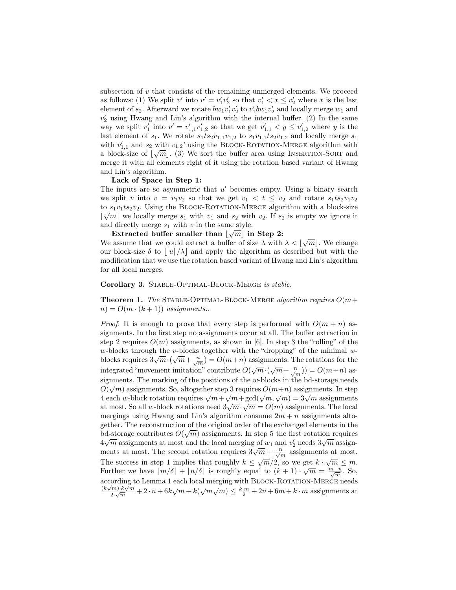subsection of v that consists of the remaining unmerged elements. We proceed as follows: (1) We split  $v'$  into  $v' = v'_1 v'_2$  so that  $v'_1 < x \le v'_2$  where x is the last element of  $s_2$ . Afterward we rotate  $bw_1v'_1v'_2$  to  $v'_1bw_1v'_2$  and locally merge  $w_1$  and  $v_2'$  using Hwang and Lin's algorithm with the internal buffer. (2) In the same way we split  $v'_1$  into  $v' = v'_{1,1}v'_{1,2}$  so that we get  $v'_{1,1} < y \le v'_{1,2}$  where y is the last element of  $s_1$ . We rotate  $s_1ts_2v_{1,1}v_{1,2}$  to  $s_1v_{1,1}ts_2v_{1,2}$  and locally merge  $s_1$ with  $v'_{1,1}$  and  $s_2$  with  $v_{1,2}$ ' using the BLOCK-ROTATION-MERGE algorithm with a block-size of  $\lfloor \sqrt{m} \rfloor$ . (3) We sort the buffer area using INSERTION-SORT and merge it with all elements right of it using the rotation based variant of Hwang and Lin's algorithm.

#### Lack of Space in Step 1:

The inputs are so asymmetric that  $u'$  becomes empty. Using a binary search we split v into  $v = v_1v_2$  so that we get  $v_1 < t < v_2$  and rotate  $s_1ts_2v_1v_2$ to  $s_1v_1ts_2v_2$ . Using the BLOCK-ROTATION-MERGE algorithm with a block-size  $\lfloor \sqrt{m} \rfloor$  we locally merge  $s_1$  with  $v_1$  and  $s_2$  with  $v_2$ . If  $s_2$  is empty we ignore it and directly merge  $s_1$  with v in the same style.

Extracted buffer smaller than  $|\sqrt{m}|$  in Step 2: Extracted builter sinality than  $\lfloor \sqrt{m} \rfloor$  in step 2:<br>We assume that we could extract a buffer of size  $\lambda$  with  $\lambda < \lfloor \sqrt{m} \rfloor$ . We change our block-size  $\delta$  to  $||u| / \lambda$  and apply the algorithm as described but with the modification that we use the rotation based variant of Hwang and Lin's algorithm for all local merges.

Corollary 3. STABLE-OPTIMAL-BLOCK-MERGE is stable.

**Theorem 1.** The STABLE-OPTIMAL-BLOCK-MERGE algorithm requires  $O(m+$  $n) = O(m \cdot (k+1))$  assignments..

*Proof.* It is enough to prove that every step is performed with  $O(m + n)$  assignments. In the first step no assignments occur at all. The buffer extraction in step 2 requires  $O(m)$  assignments, as shown in [6]. In step 3 the "rolling" of the w-blocks through the v-blocks together with the "dropping" of the minimal wblocks requires  $3\sqrt{m}\cdot(\sqrt{m}+\frac{n}{\sqrt{m}})=O(m+n)$  assignments. The rotations for the integrated "movement imitation" contribute  $O(\sqrt{m}\cdot(\sqrt{m}+\frac{n}{\sqrt{m}})) = O(m+n)$  assignments. The marking of the positions of the w-blocks in the bd-storage needs  $\alpha$ .  $O(\sqrt{m})$  assignments. So, altogether step 3 requires  $O(m+n)$  assignments. In step  $Q(\sqrt{m})$  assignments. So, anogether step 3 requires  $Q(m+n)$  assignments. In step<br>4 each w-block rotation requires  $\sqrt{m} + \sqrt{m} + \gcd(\sqrt{m}, \sqrt{m}) = 3\sqrt{m}$  assignments at most. So all w-block rotations need  $3\sqrt{m} \cdot \sqrt{m} = O(m)$  assignments. The local mergings using Hwang and Lin's algorithm consume  $2m + n$  assignments altogether. The reconstruction of the original order of the exchanged elements in the bd-storage contributes  $O(\sqrt{m})$  assignments. In step 5 the first rotation requires  $4\sqrt{m}$  assignments at most and the local merging of  $w_1$  and  $v_2'$  needs  $3\sqrt{m}$  assignments at most. The second rotation requires  $3\sqrt{m} + \frac{n}{\sqrt{m}}$  assignments at most. The success in step 1 implies that roughly  $k \leq \sqrt{m}/2$ , so we get  $k \cdot \sqrt{m} \leq m$ . Further we have  $\lfloor m/\delta \rfloor + \lfloor n/\delta \rfloor$  is roughly equal to  $(k+1) \cdot \sqrt{m} = \frac{m+n}{\sqrt{m}}$ . So, according to Lemma 1 each local merging with BLOCK-ROTATION-MERGE needs  $(k\sqrt{m})\cdot k\sqrt{m}$  $\frac{\sqrt{m}}{2\sqrt{m}}$  + 2 · n + 6k $\sqrt{m}$  + k( $\sqrt{m}\sqrt{m}$ )  $\leq \frac{k \cdot m}{2}$  + 2n + 6m + k · m assignments at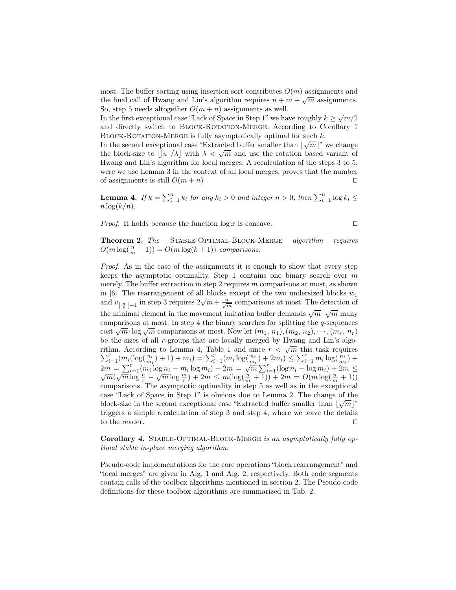most. The buffer sorting using insertion sort contributes  $O(m)$  assignments and the final call of Hwang and Lin's algorithm requires  $n + m + \sqrt{m}$  assignments. So, step 5 needs altogether  $O(m + n)$  assignments as well.

So, step 5 needs altogether  $O(m+n)$  assignments as well.<br>In the first exceptional case "Lack of Space in Step 1" we have roughly  $k \geq \sqrt{m}/2$ and directly switch to Block-Rotation-Merge. According to Corollary 1 BLOCK-ROTATION-MERGE is fully asymptotically optimal for such  $k$ .

In the second exceptional case "Extracted buffer smaller than  $\lfloor \sqrt{m} \rfloor$ " we change In the second exceptional case Extracted bullet smaller than  $\lfloor \sqrt{m} \rfloor$  we change<br>the block-size to  $\lfloor |u|/\lambda \rfloor$  with  $\lambda < \sqrt{m}$  and use the rotation based variant of Hwang and Lin's algorithm for local merges. A recalculation of the steps 3 to 5, were we use Lemma 3 in the context of all local merges, proves that the number of assignments is still  $O(m + n)$ .

**Lemma 4.** If  $k = \sum_{i=1}^{n} k_i$  for any  $k_i > 0$  and integer  $n > 0$ , then  $\sum_{i=1}^{n} \log k_i \leq$  $n \log(k/n)$ .

*Proof.* It holds because the function  $\log x$  is concave.

$$
\qquad \qquad \Box
$$

Theorem 2. The Stable-Optimal-Block-Merge algorithm requires  $O(m \log(\frac{n}{m} + 1)) = O(m \log(k + 1))$  comparisons.

Proof. As in the case of the assignments it is enough to show that every step keeps the asymptotic optimality. Step 1 contains one binary search over  $m$ merely. The buffer extraction in step 2 requires  $m$  comparisons at most, as shown in [6]. The rearrangement of all blocks except of the two undersized blocks  $w_1$ and  $v_{\lfloor \frac{n}{\delta} \rfloor + 1}$  in step 3 requires  $2\sqrt{m} + \frac{n}{\sqrt{m}}$  comparisons at most. The detection of the minimal element in the movement imitation buffer demands  $\sqrt{m} \cdot \sqrt{m}$  many √ comparisons at most. In step 4 the binary searches for splitting the  $q$ -sequences comparisons at most. In step 4 the binary searches for spirting the q-sequences cost  $\sqrt{m} \cdot \log \sqrt{m}$  comparisons at most. Now let  $(m_1, n_1), (m_2, n_2), \cdots, (m_r, n_r)$ be the sizes of all r-groups that are locally merged by Hwang and Lin's algobe the sizes of an r-groups that are locally merged by frwang and Elli s algorithm. According to Lemma 4, Table 1 and since  $r < \sqrt{m}$  this task requires  $\sum_{i=1}^r (m_i(\log(\frac{n_i}{m_i})+1) + m_i) = \sum_{i=1}^r (m_i \log(\frac{n_i}{m_i}) + 2m_i) \leq \sum_{i=1}^r m_i \log(\frac{n_i}{m_i}) +$  $\sum_{i=1}^{\infty} \frac{m_i \log_{\binom{n_i}{m_i}} + 1 + m_i - \sum_{i=1}^{\infty} \frac{m_i \log_{\binom{n_i}{m_i}} + 2m_i - \sum_{i=1}^{\infty} \frac{m_i \log_{\binom{n_i}{m_i}}}{m_i}}{2m} = \sum_{i=1}^{\infty} \frac{m_i \log n_i - m_i \log m_i + 2m = \sqrt{m} \sum_{i=1}^{\infty} (\log n_i - \log m_i) + 2m \le \sqrt{m}(\sqrt{m} \log \frac{n}{r} - \sqrt{m} \log \frac{m}{r}) + 2m \le m(\log(\frac$ comparisons. The asymptotic optimality in step 5 as well as in the exceptional case "Lack of Space in Step 1" is obvious due to Lemma 2. The change of the block-size in the second exceptional case "Extracted buffer smaller than  $\lfloor \sqrt{m} \rfloor$ " triggers a simple recalculation of step 3 and step 4, where we leave the details to the reader.  $\hfill\Box$ 

Corollary 4. STABLE-OPTIMAL-BLOCK-MERGE is an asymptotically fully optimal stable in-place merging algorithm.

Pseudo-code implementations for the core operations "block rearrangement" and "local merges" are given in Alg. 1 and Alg. 2, respectively. Both code segments contain calls of the toolbox algorithms mentioned in section 2. The Pseudo-code definitions for these toolbox algorithms are summarized in Tab. 2.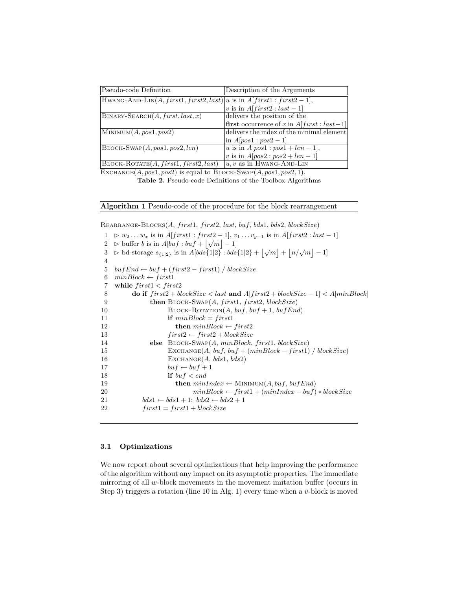| Pseudo-code Definition                                                          | Description of the Arguments                       |
|---------------------------------------------------------------------------------|----------------------------------------------------|
| $ H$ WANG-AND-LIN $(A, first1, first2, last) u$ is in $A[first1 : first2 - 1],$ |                                                    |
|                                                                                 | v is in $A[first2: last-1]$                        |
| $BINARY-SEARCH(A, first, last, x)$                                              | delivers the position of the                       |
|                                                                                 | <b>first</b> occurrence of x in $A[first: last-1]$ |
| $\text{MINIMUM}(A, pos1, pos2)$                                                 | delivers the index of the minimal element          |
|                                                                                 | $\ln A[pos1:pos2-1]$                               |
| $B$ LOCK-SWAP $(A, pos1, pos2, len)$                                            | u is in $A[pos1 : pos1 + len - 1]$ ,               |
|                                                                                 | <i>v</i> is in $A[pos2 : pos2 + len - 1]$          |
| $\text{BLOCK-ROTATE}(A, first1, first2, last)$                                  | $ u, v$ as in HWANG-AND-LIN                        |
| .                                                                               |                                                    |

EXCHANGE $(A, pos1, pos2)$  is equal to BLOCK-SWAP $(A, pos1, pos2, 1)$ .

Table 2. Pseudo-code Definitions of the Toolbox Algorithms

Algorithm 1 Pseudo-code of the procedure for the block rearrangement

 $REARRANGE-BLOCKS(A, first1, first2, last, but, bds1, bds2, blockSize)$ 

 $1 \geq w_2 \dots w_x$  is in  $A[first1 : first2 - 1], v_1 \dots v_{y-1}$  is in  $A[first2 : last - 1]$  $2 \Rightarrow \text{buffer } b \text{ is in } A[buf : buf + |\sqrt{m}| - 1]$ 3  $\triangleright$  bd-storage  $s_{\{1|2\}}$  is in A[bds{1|2} : bds{1|2} +  $\lfloor \sqrt{m} \rfloor + \lfloor n/\sqrt{m} \rfloor - 1$ ] 4 5  $bufEnd \leftarrow buf + (first2 - first1) / blockSize$ 6  $minBlock \leftarrow first1$ 7 while  $first1 < first2$ 8 do if  $first2 + blockSize < last$  and  $A[first2 + blockSize - 1] < A[minBlock]$ 9 **then**  $\text{Block-SWAP}(A, first1, first2, blockSize)$ 10 BLOCK-ROTATION(A, buf, buf + 1, buf End) 11 if  $minBlock = first1$ 12 then  $minBlock \leftarrow first2$ 13  $first2 \leftarrow first2 + blocksize$ 14 else BLOCK-SWAP(A, minBlock, first1, blockSize) 15 EXCHANGE(A, buf, buf + (minBlock – first1) / blockSize) 16 EXCHANGE $(A, bds1, bds2)$ 17  $buf \leftarrow buf + 1$ 18 if  $buf < end$ 19 **then**  $minIndex \leftarrow \text{MINIMUM}(A, but f, but fEnd)$ 20  $minBlock \leftarrow first1 + (minIndex - butf) * blockSize$ 21  $bds1 \leftarrow bds1 + 1$ ;  $bds2 \leftarrow bds2 + 1$ 22  $first1 = first1 + blockSize$ 

## 3.1 Optimizations

We now report about several optimizations that help improving the performance of the algorithm without any impact on its asymptotic properties. The immediate mirroring of all w-block movements in the movement imitation buffer (occurs in Step 3) triggers a rotation (line 10 in Alg. 1) every time when a  $v$ -block is moved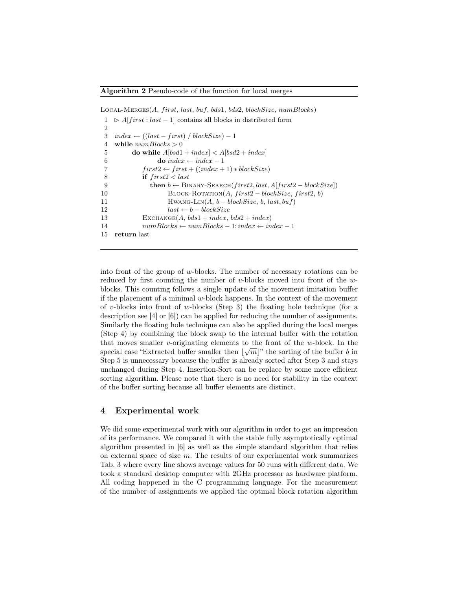$LocAL-MERGES(A, first, last, but, bds1, bds2, blockSize, numBlocks)$ 

```
1 \geq A[first : last – 1] contains all blocks in distributed form
\mathcal{D}3 index ← ((last - first) / blockSize) - 14 while numblocks > 05 do while A[bsd1 + index] < A[bsd2 + index]6 do index ← index – 1
7 first2 \leftarrow first + ((index + 1) * blockSize)8 if first2 < last9 then b \leftarrow \text{BINARY-SEARCH}(first2, last, A first2 - blockSize)10 BLOCK-ROTATION(A, first2 - blockSize, first2, b)11 HWANG-LIN(A, b - blockSize, b, last, but)12 last \leftarrow b - blockSize13 EXCHANGE(A, bds1 + index, bds2 + index)
14 numblocks \leftarrow numblocks - 1; index \leftarrow index - 115 return last
```
into front of the group of w-blocks. The number of necessary rotations can be reduced by first counting the number of v-blocks moved into front of the wblocks. This counting follows a single update of the movement imitation buffer if the placement of a minimal  $w$ -block happens. In the context of the movement of v-blocks into front of w-blocks (Step 3) the floating hole technique (for a description see [4] or [6]) can be applied for reducing the number of assignments. Similarly the floating hole technique can also be applied during the local merges (Step 4) by combining the block swap to the internal buffer with the rotation that moves smaller v-originating elements to the front of the w-block. In the special case "Extracted buffer smaller then  $\lfloor \sqrt{m} \rfloor$ " the sorting of the buffer b in Step 5 is unnecessary because the buffer is already sorted after Step 3 and stays unchanged during Step 4. Insertion-Sort can be replace by some more efficient sorting algorithm. Please note that there is no need for stability in the context of the buffer sorting because all buffer elements are distinct.

## 4 Experimental work

We did some experimental work with our algorithm in order to get an impression of its performance. We compared it with the stable fully asymptotically optimal algorithm presented in [6] as well as the simple standard algorithm that relies on external space of size  $m$ . The results of our experimental work summarizes Tab. 3 where every line shows average values for 50 runs with different data. We took a standard desktop computer with 2GHz processor as hardware platform. All coding happened in the C programming language. For the measurement of the number of assignments we applied the optimal block rotation algorithm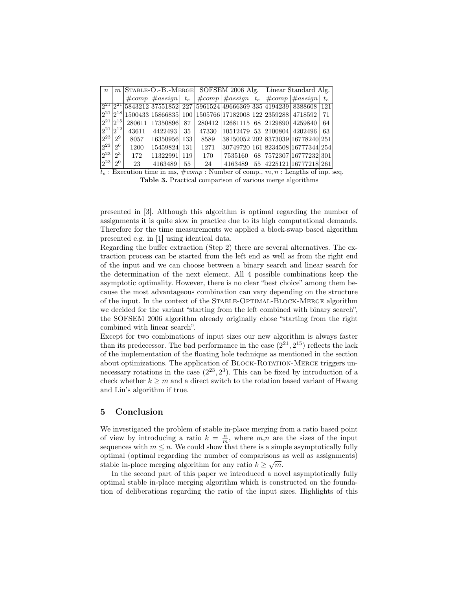| $\boldsymbol{n}$ |                   |       |                                                                                                                                                     | $m$ STABLE-O.-B.-MERGE SOFSEM 2006 Alg. Linear Standard Alg. |      |                                   |  |  |                                         |     |
|------------------|-------------------|-------|-----------------------------------------------------------------------------------------------------------------------------------------------------|--------------------------------------------------------------|------|-----------------------------------|--|--|-----------------------------------------|-----|
|                  |                   |       | $\#\textit{comp}$   $\#\textit{assign}$   $t_e$   $\#\textit{comp}$   $\#\textit{assign}$   $t_e$   $\#\textit{comp}$   $\#\textit{assign}$   $t_e$ |                                                              |      |                                   |  |  |                                         |     |
|                  |                   |       | $\sqrt{2^{21}\left[2^{21}\right]5843212\left[37551852\right]227\left[5961524\right]49666369\left[335\right]4194239\right]8388608}$                  |                                                              |      |                                   |  |  |                                         | 121 |
|                  |                   |       | $ 2^{21} 2^{18} 1500433 15866835 100 1505766 17182008 122 2359288 4718592$                                                                          |                                                              |      |                                   |  |  |                                         | 71  |
|                  | $ 2^{21} 2^{15} $ |       | 280611  17350896   87   280412  12681115   68   2129890   4259840                                                                                   |                                                              |      |                                   |  |  |                                         | 64  |
|                  | $ 2^{21} 2^{12} $ | 43611 | 4422493                                                                                                                                             | 35 <sup>1</sup>                                              |      | 47330 10512479 53 2100804 4202496 |  |  |                                         | -63 |
| $ 2^{23} $       | $2^9$             | 8057  | 16350956 133                                                                                                                                        |                                                              | 8589 | 38150052 202 8373039 16778240 251 |  |  |                                         |     |
| $ 2^{23} $       | $2^6$             | 1200  | 15459824 131                                                                                                                                        |                                                              | 1271 | 30749720 161 8234508 16777344 254 |  |  |                                         |     |
| $ 2^{23} $       | $2^3$             | 172   | $11322991$ 119                                                                                                                                      |                                                              | 170  |                                   |  |  | 7535160   68   7572307   16777232   301 |     |
| $ 2^{23} $       | 2 <sup>0</sup>    | 23    | 4163489                                                                                                                                             | $55-1$                                                       | 24   |                                   |  |  | 4163489   55   4225121   16777218   261 |     |

 $t_e$ : Execution time in ms,  $\#comp$ : Number of comp.,  $m, n$ : Lengths of inp. seq. Table 3. Practical comparison of various merge algorithms

presented in [3]. Although this algorithm is optimal regarding the number of assignments it is quite slow in practice due to its high computational demands. Therefore for the time measurements we applied a block-swap based algorithm presented e.g. in [1] using identical data.

Regarding the buffer extraction (Step 2) there are several alternatives. The extraction process can be started from the left end as well as from the right end of the input and we can choose between a binary search and linear search for the determination of the next element. All 4 possible combinations keep the asymptotic optimality. However, there is no clear "best choice" among them because the most advantageous combination can vary depending on the structure of the input. In the context of the Stable-Optimal-Block-Merge algorithm we decided for the variant "starting from the left combined with binary search", the SOFSEM 2006 algorithm already originally chose "starting from the right combined with linear search".

Except for two combinations of input sizes our new algorithm is always faster than its predecessor. The bad performance in the case  $(2^{21}, 2^{15})$  reflects the lack of the implementation of the floating hole technique as mentioned in the section about optimizations. The application of BLOCK-ROTATION-MERGE triggers unnecessary rotations in the case  $(2^{23}, 2^3)$ . This can be fixed by introduction of a check whether  $k \geq m$  and a direct switch to the rotation based variant of Hwang and Lin's algorithm if true.

## 5 Conclusion

We investigated the problem of stable in-place merging from a ratio based point of view by introducing a ratio  $k = \frac{n}{m}$ , where  $m,n$  are the sizes of the input sequences with  $m \leq n$ . We could show that there is a simple asymptotically fully optimal (optimal regarding the number of comparisons as well as assignments) √ stable in-place merging algorithm for any ratio  $k \geq \sqrt{m}$ .

In the second part of this paper we introduced a novel asymptotically fully optimal stable in-place merging algorithm which is constructed on the foundation of deliberations regarding the ratio of the input sizes. Highlights of this